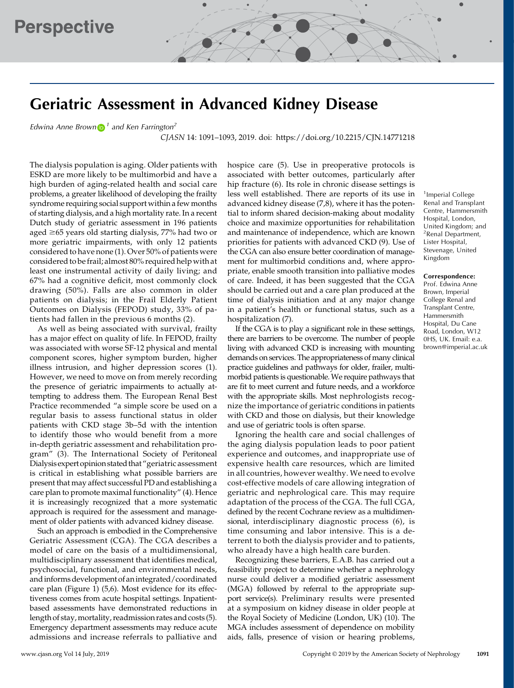**Perspective** 

## Geriatric Assessment in Advanced Kidney Disease

Edwina Anne Brown  $\mathbf{D}^1$  and Ken Farrington<sup>2</sup>

CJASN 14: 1091–1093, 2019. doi:<https://doi.org/10.2215/CJN.14771218>

The dialysis population is aging. Older patients with ESKD are more likely to be multimorbid and have a high burden of aging-related health and social care problems, a greater likelihood of developing the frailty syndrome requiring social support within a few months of starting dialysis, and a high mortality rate. In a recent Dutch study of geriatric assessment in 196 patients aged  $\geq$ 65 years old starting dialysis, 77% had two or more geriatric impairments, with only 12 patients considered to have none (1). Over 50% of patients were considered to be frail; almost 80% required help with at least one instrumental activity of daily living; and 67% had a cognitive deficit, most commonly clock drawing (50%). Falls are also common in older patients on dialysis; in the Frail Elderly Patient Outcomes on Dialysis (FEPOD) study, 33% of patients had fallen in the previous 6 months (2).

As well as being associated with survival, frailty has a major effect on quality of life. In FEPOD, frailty was associated with worse SF-12 physical and mental component scores, higher symptom burden, higher illness intrusion, and higher depression scores (1). However, we need to move on from merely recording the presence of geriatric impairments to actually attempting to address them. The European Renal Best Practice recommended "a simple score be used on a regular basis to assess functional status in older patients with CKD stage 3b–5d with the intention to identify those who would benefit from a more in-depth geriatric assessment and rehabilitation program" (3). The International Society of Peritoneal Dialysis expert opinion stated that "geriatric assessment is critical in establishing what possible barriers are present that may affect successful PD and establishing a care plan to promote maximal functionality" (4). Hence it is increasingly recognized that a more systematic approach is required for the assessment and management of older patients with advanced kidney disease.

Such an approach is embodied in the Comprehensive Geriatric Assessment (CGA). The CGA describes a model of care on the basis of a multidimensional, multidisciplinary assessment that identifies medical, psychosocial, functional, and environmental needs, andinforms development of anintegrated/coordinated care plan (Figure 1) (5,6). Most evidence for its effectiveness comes from acute hospital settings. Inpatientbased assessments have demonstrated reductions in length of stay,mortality, readmission rates and costs (5). Emergency department assessments may reduce acute admissions and increase referrals to palliative and

hospice care (5). Use in preoperative protocols is associated with better outcomes, particularly after hip fracture (6). Its role in chronic disease settings is less well established. There are reports of its use in advanced kidney disease (7,8), where it has the potential to inform shared decision-making about modality choice and maximize opportunities for rehabilitation and maintenance of independence, which are known priorities for patients with advanced CKD (9). Use of the CGA can also ensure better coordination of management for multimorbid conditions and, where appropriate, enable smooth transition into palliative modes of care. Indeed, it has been suggested that the CGA should be carried out and a care plan produced at the time of dialysis initiation and at any major change in a patient's health or functional status, such as a hospitalization (7).

If the CGA is to play a significant role in these settings, there are barriers to be overcome. The number of people living with advanced CKD is increasing with mounting demands on services. The appropriateness of many clinical practice guidelines and pathways for older, frailer, multimorbid patients is questionable. We require pathways that are fit to meet current and future needs, and a workforce with the appropriate skills. Most nephrologists recognize the importance of geriatric conditions in patients with CKD and those on dialysis, but their knowledge and use of geriatric tools is often sparse.

Ignoring the health care and social challenges of the aging dialysis population leads to poor patient experience and outcomes, and inappropriate use of expensive health care resources, which are limited in all countries, however wealthy. We need to evolve cost-effective models of care allowing integration of geriatric and nephrological care. This may require adaptation of the process of the CGA. The full CGA, defined by the recent Cochrane review as a multidimensional, interdisciplinary diagnostic process (6), is time consuming and labor intensive. This is a deterrent to both the dialysis provider and to patients, who already have a high health care burden.

Recognizing these barriers, E.A.B. has carried out a feasibility project to determine whether a nephrology nurse could deliver a modified geriatric assessment (MGA) followed by referral to the appropriate support service(s). Preliminary results were presented at a symposium on kidney disease in older people at the Royal Society of Medicine (London, UK) (10). The MGA includes assessment of dependence on mobility aids, falls, presence of vision or hearing problems,

<sup>1</sup>Imperial College Renal and Transplant Centre, Hammersmith Hospital, London, United Kingdom; and <sup>2</sup> Renal Department, Lister Hospital, Stevenage, United Kingdom

Correspondence:

Prof. Edwina Anne Brown, Imperial College Renal and Transplant Centre, Hammersmith Hospital, Du Cane Road, London, W12 0HS, UK. Email: [e.a.](mailto:e.a.brown@imperial.ac.uk) [brown@imperial.ac.uk](mailto:e.a.brown@imperial.ac.uk)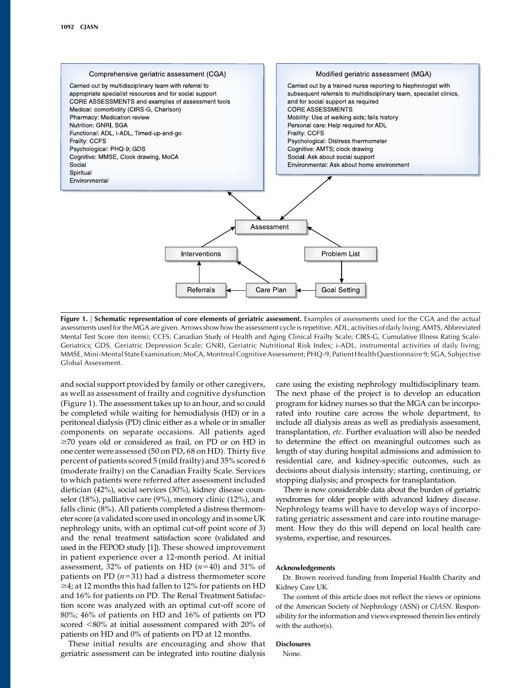

Figure 1. Schematic representation of core elements of geriatric assessment. Examples of assessments used for the CGA and the actual assessments used for the MGA are given. Arrows show how the assessment cycle is repetitive. ADL, activities of daily living; AMTS, Abbreviated Mental Test Score (ten items); CCFS, Canadian Study of Health and Aging Clinical Frailty Scale; CIRS-G, Cumulative Illness Rating Scale-Geriatrics; GDS, Geriatric Depression Scale; GNRI, Geriatric Nutritional Risk Index; i-ADL, instrumental activities of daily living; MMSE, Mini-Mental State Examination; MoCA, Montreal Cognitive Assessment; PHQ-9, Patient Health Questionnaire 9; SGA, Subjective Global Assessment.

and social support provided by family or other caregivers, as well as assessment of frailty and cognitive dysfunction (Figure 1). The assessment takes up to an hour, and so could be completed while waiting for hemodialysis (HD) or in a peritoneal dialysis (PD) clinic either as a whole or in smaller components on separate occasions. All patients aged  $\geq$ 70 years old or considered as frail, on PD or on HD in one center were assessed (50 on PD, 68 on HD). Thirty five percent of patients scored 5 (mild frailty) and 35% scored 6 (moderate frailty) on the Canadian Frailty Scale. Services to which patients were referred after assessment included dietician (42%), social services (30%), kidney disease counselor (18%), palliative care (9%), memory clinic (12%), and falls clinic (8%). All patients completed a distress thermometer score (a validated score used in oncology and in some UK nephrology units, with an optimal cut-off point score of 3) and the renal treatment satisfaction score (validated and used in the FEPOD study [1]). These showed improvement in patient experience over a 12-month period. At initial assessment, 32% of patients on HD  $(n=40)$  and 31% of patients on PD  $(n=31)$  had a distress thermometer score  $\geq$ 4; at 12 months this had fallen to 12% for patients on HD and 16% for patients on PD. The Renal Treatment Satisfaction score was analyzed with an optimal cut-off score of 80%; 46% of patients on HD and 16% of patients on PD scored <80% at initial assessment compared with 20% of patients on HD and 0% of patients on PD at 12 months.

These initial results are encouraging and show that geriatric assessment can be integrated into routine dialysis care using the existing nephrology multidisciplinary team. The next phase of the project is to develop an education program for kidney nurses so that the MGA can be incorporated into routine care across the whole department, to include all dialysis areas as well as predialysis assessment, transplantation, etc. Further evaluation will also be needed to determine the effect on meaningful outcomes such as length of stay during hospital admissions and admission to residential care, and kidney-specific outcomes, such as decisions about dialysis intensity; starting, continuing, or stopping dialysis; and prospects for transplantation.

There is now considerable data about the burden of geriatric syndromes for older people with advanced kidney disease. Nephrology teams will have to develop ways of incorporating geriatric assessment and care into routine management. How they do this will depend on local health care systems, expertise, and resources.

## Acknowledgements

Dr. Brown received funding from Imperial Health Charity and Kidney Care UK.

The content of this article does not reflect the views or opinions of the American Society of Nephrology (ASN) or CJASN. Responsibility for the information and views expressed therein lies entirely with the author(s).

## **Disclosures**

None.